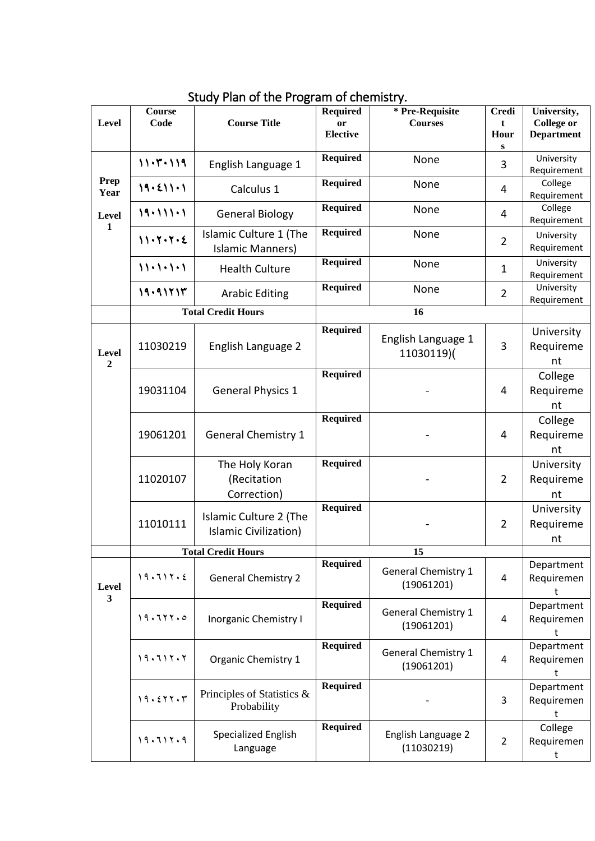| <b>Level</b>            | <b>Course</b><br>Code | <b>Course Title</b>                               | <b>Required</b><br>or<br><b>Elective</b> | * Pre-Requisite<br><b>Courses</b>        | <b>Credi</b><br>t<br>Hour<br>${\bf S}$ | University,<br><b>College or</b><br><b>Department</b> |
|-------------------------|-----------------------|---------------------------------------------------|------------------------------------------|------------------------------------------|----------------------------------------|-------------------------------------------------------|
|                         | 11.7.119              | English Language 1                                | <b>Required</b>                          | None                                     | 3                                      | University<br>Requirement                             |
| <b>Prep</b><br>Year     | 19.211.1              | Calculus 1                                        | <b>Required</b>                          | None                                     | 4                                      | College<br>Requirement                                |
| Level<br>$\mathbf{1}$   | 19.111.1              | <b>General Biology</b>                            | <b>Required</b>                          | None                                     | 4                                      | College<br>Requirement                                |
|                         | 11.7.7.2              | Islamic Culture 1 (The<br><b>Islamic Manners)</b> | <b>Required</b>                          | None                                     | $\overline{2}$                         | University<br>Requirement                             |
|                         | $11 - 1 - 1 - 1$      | <b>Health Culture</b>                             | <b>Required</b>                          | None                                     | $\mathbf 1$                            | University<br>Requirement                             |
|                         | 19.91717              | <b>Arabic Editing</b>                             | <b>Required</b>                          | None                                     | $\overline{2}$                         | University<br>Requirement                             |
|                         |                       | <b>Total Credit Hours</b>                         |                                          | 16                                       |                                        |                                                       |
| Level<br>$\overline{2}$ | 11030219              | English Language 2                                | <b>Required</b>                          | English Language 1<br>11030119)(         | 3                                      | University<br>Requireme<br>nt                         |
|                         | 19031104              | <b>General Physics 1</b>                          | <b>Required</b>                          |                                          | 4                                      | College<br>Requireme<br>nt                            |
|                         | 19061201              | <b>General Chemistry 1</b>                        | <b>Required</b>                          |                                          | 4                                      | College<br>Requireme<br>nt                            |
|                         | 11020107              | The Holy Koran<br>(Recitation<br>Correction)      | <b>Required</b>                          |                                          | $\overline{2}$                         | University<br>Requireme<br>nt                         |
|                         | 11010111              | Islamic Culture 2 (The<br>Islamic Civilization)   | <b>Required</b>                          |                                          | $\overline{2}$                         | University<br>Requireme<br>nt                         |
|                         |                       | <b>Total Credit Hours</b>                         | 15                                       |                                          |                                        |                                                       |
| <b>Level</b><br>3       | 19.717.2              | <b>General Chemistry 2</b>                        | <b>Required</b>                          | <b>General Chemistry 1</b><br>(19061201) | 4                                      | Department<br>Requiremen<br>t                         |
|                         | 19.711.0              | <b>Inorganic Chemistry I</b>                      | <b>Required</b>                          | <b>General Chemistry 1</b><br>(19061201) | 4                                      | Department<br>Requiremen<br>t                         |
|                         | 19.7117.7             | Organic Chemistry 1                               | <b>Required</b>                          | <b>General Chemistry 1</b><br>(19061201) | 4                                      | Department<br>Requiremen<br>t                         |
|                         | 19.511.5              | Principles of Statistics &<br>Probability         | <b>Required</b>                          |                                          | 3                                      | Department<br>Requiremen                              |
|                         | 19.711.9              | <b>Specialized English</b><br>Language            | <b>Required</b>                          | English Language 2<br>(11030219)         | $\overline{2}$                         | College<br>Requiremen<br>t                            |

## Study Plan of the Program of chemistry.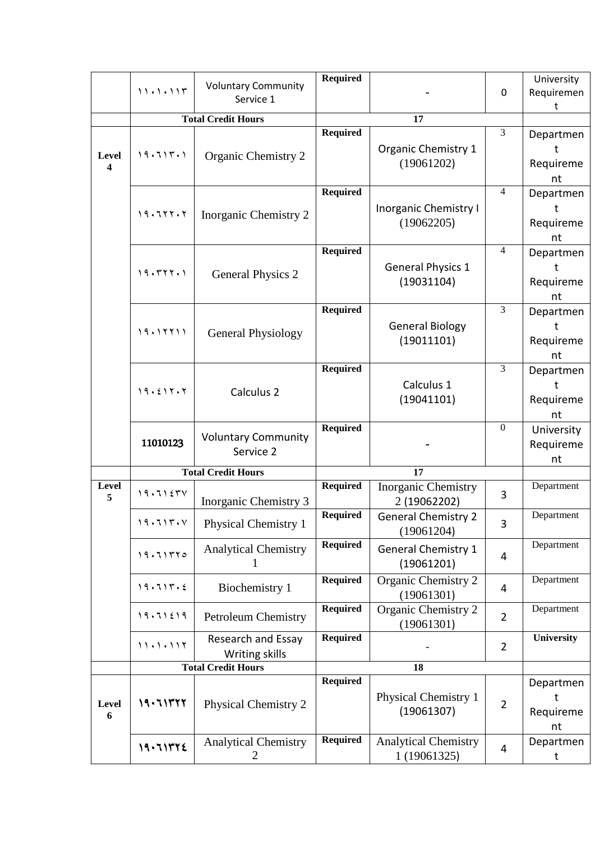|                         |                           |                                         | <b>Required</b> |                                            |                  | University |
|-------------------------|---------------------------|-----------------------------------------|-----------------|--------------------------------------------|------------------|------------|
|                         | 11.1.111                  | <b>Voluntary Community</b><br>Service 1 |                 |                                            | $\mathbf 0$      | Requiremen |
|                         |                           |                                         |                 |                                            |                  | t          |
|                         | <b>Total Credit Hours</b> |                                         | 17              |                                            |                  |            |
|                         |                           |                                         | <b>Required</b> |                                            | $\overline{3}$   | Departmen  |
| Level                   | 19.7117.1                 | Organic Chemistry 2                     |                 | <b>Organic Chemistry 1</b>                 |                  | ŧ          |
| $\overline{\mathbf{4}}$ |                           |                                         |                 | (19061202)                                 |                  | Requireme  |
|                         |                           |                                         |                 |                                            |                  | nt         |
|                         |                           |                                         | <b>Required</b> |                                            | $\overline{4}$   | Departmen  |
|                         |                           |                                         |                 | <b>Inorganic Chemistry I</b>               |                  | ŧ          |
|                         | 19.711.7                  | Inorganic Chemistry 2                   |                 | (19062205)                                 |                  | Requireme  |
|                         |                           |                                         |                 |                                            |                  | nt         |
|                         |                           |                                         | <b>Required</b> |                                            | $\overline{4}$   | Departmen  |
|                         |                           |                                         |                 | <b>General Physics 1</b>                   |                  | ŧ          |
|                         | 19.5777.1                 | <b>General Physics 2</b>                |                 | (19031104)                                 |                  | Requireme  |
|                         |                           |                                         |                 |                                            |                  | nt         |
|                         |                           |                                         | <b>Required</b> |                                            | $\overline{3}$   | Departmen  |
|                         |                           |                                         |                 | <b>General Biology</b>                     |                  | t          |
|                         | 19.11111                  | <b>General Physiology</b>               |                 | (19011101)                                 |                  | Requireme  |
|                         |                           |                                         |                 |                                            |                  | nt         |
|                         |                           |                                         | <b>Required</b> |                                            | $\overline{3}$   | Departmen  |
|                         |                           |                                         |                 | Calculus 1                                 |                  | ŧ          |
|                         | 19.517.7                  | Calculus 2                              |                 | (19041101)                                 |                  |            |
|                         |                           |                                         |                 |                                            |                  | Requireme  |
|                         |                           |                                         | Required        |                                            | $\boldsymbol{0}$ | nt         |
|                         | 11010123                  | <b>Voluntary Community</b>              |                 |                                            |                  | University |
|                         |                           | Service 2                               |                 |                                            |                  | Requireme  |
|                         |                           | <b>Total Credit Hours</b>               |                 | 17                                         |                  | nt         |
| Level                   |                           |                                         | <b>Required</b> |                                            |                  | Department |
| 5                       | 19.7157V                  | Inorganic Chemistry 3                   |                 | <b>Inorganic Chemistry</b><br>2 (19062202) | 3                |            |
|                         |                           |                                         | <b>Required</b> | <b>General Chemistry 2</b>                 |                  | Department |
|                         | ۱۹۰۶۱۳۰۷                  | <b>Physical Chemistry 1</b>             |                 | (19061204)                                 | 3                |            |
|                         |                           |                                         | <b>Required</b> |                                            |                  | Department |
|                         | 19.711770                 | <b>Analytical Chemistry</b>             |                 | <b>General Chemistry 1</b>                 | 4                |            |
|                         |                           |                                         |                 | (19061201)                                 |                  |            |
|                         | 19.7117.2                 | Biochemistry 1                          | <b>Required</b> | Organic Chemistry 2                        | 4                | Department |
|                         |                           |                                         |                 | (19061301)                                 |                  |            |
|                         | 19.71219                  | <b>Petroleum Chemistry</b>              | <b>Required</b> | Organic Chemistry 2                        | $\overline{2}$   | Department |
|                         |                           |                                         |                 | (19061301)                                 |                  |            |
|                         | 11.1.117                  | Research and Essay                      | <b>Required</b> |                                            | $\overline{2}$   | University |
|                         |                           | Writing skills                          |                 |                                            |                  |            |
|                         | <b>Total Credit Hours</b> |                                         | 18              |                                            |                  |            |
|                         |                           |                                         | <b>Required</b> |                                            |                  | Departmen  |
| Level                   | 19.711777                 | <b>Physical Chemistry 2</b>             |                 | <b>Physical Chemistry 1</b>                | $\overline{2}$   |            |
| 6                       |                           |                                         |                 | (19061307)                                 |                  | Requireme  |
|                         |                           |                                         |                 |                                            |                  | nt         |
|                         | 19.71372                  | <b>Analytical Chemistry</b>             | <b>Required</b> | <b>Analytical Chemistry</b>                |                  | Departmen  |
|                         |                           | 2                                       |                 | 1 (19061325)                               | 4                | t          |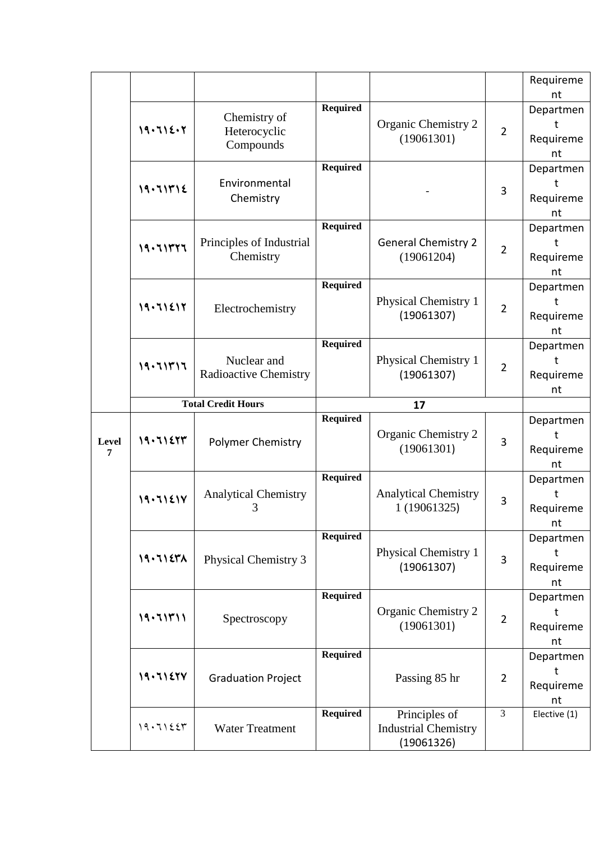|       |              |                                             |                 |                                             |                | Requireme       |
|-------|--------------|---------------------------------------------|-----------------|---------------------------------------------|----------------|-----------------|
|       |              |                                             | <b>Required</b> |                                             |                | nt              |
|       |              | Chemistry of<br>Heterocyclic<br>Compounds   |                 | Organic Chemistry 2                         |                | Departmen<br>ŧ  |
|       | 19.715.7     |                                             |                 | (19061301)                                  | $\overline{2}$ | Requireme       |
|       |              |                                             |                 |                                             |                | nt              |
|       |              |                                             | <b>Required</b> |                                             |                | Departmen       |
|       | 19.711712    | Environmental                               |                 |                                             |                | ŧ               |
|       |              | Chemistry                                   |                 |                                             | 3              | Requireme       |
|       |              |                                             |                 |                                             |                | nt              |
|       |              |                                             | <b>Required</b> |                                             |                | Departmen       |
|       | 19.711777    | Principles of Industrial<br>Chemistry       |                 | <b>General Chemistry 2</b><br>(19061204)    | $\overline{2}$ | t               |
|       |              |                                             |                 |                                             |                | Requireme       |
|       |              |                                             | <b>Required</b> |                                             |                | nt              |
|       |              |                                             |                 | <b>Physical Chemistry 1</b>                 |                | Departmen<br>t  |
|       | 19.71217     | Electrochemistry                            |                 | (19061307)                                  | $\overline{2}$ | Requireme       |
|       |              |                                             |                 |                                             |                | nt              |
|       |              |                                             | <b>Required</b> |                                             |                | Departmen       |
|       | 19.711717    | Nuclear and<br><b>Radioactive Chemistry</b> |                 | <b>Physical Chemistry 1</b>                 |                | t               |
|       |              |                                             |                 | (19061307)                                  | $\overline{2}$ | Requireme       |
|       |              |                                             |                 |                                             |                | nt              |
|       |              | <b>Total Credit Hours</b>                   |                 | 17                                          |                |                 |
|       |              |                                             |                 |                                             |                |                 |
|       |              |                                             | <b>Required</b> |                                             |                | Departmen       |
| Level | 19.71277     | <b>Polymer Chemistry</b>                    |                 | Organic Chemistry 2                         | 3              | t.              |
| 7     |              |                                             |                 | (19061301)                                  |                | Requireme       |
|       |              |                                             |                 |                                             |                | nt              |
|       |              |                                             | <b>Required</b> |                                             |                | Departmen<br>t  |
|       | 19.71217     | <b>Analytical Chemistry</b><br>3            |                 | <b>Analytical Chemistry</b><br>1 (19061325) | 3              | Requireme<br>nt |
|       |              |                                             |                 |                                             |                |                 |
|       |              |                                             | <b>Required</b> |                                             |                | Departmen       |
|       |              |                                             |                 | <b>Physical Chemistry 1</b>                 |                | t               |
|       | 19.71271     | <b>Physical Chemistry 3</b>                 |                 | (19061307)                                  | 3              | Requireme       |
|       |              |                                             |                 |                                             |                | nt              |
|       |              |                                             | <b>Required</b> |                                             |                | Departmen       |
|       | 19.711711    | Spectroscopy                                |                 | Organic Chemistry 2                         | $\overline{2}$ |                 |
|       |              |                                             |                 | (19061301)                                  |                | Requireme       |
|       |              |                                             | <b>Required</b> |                                             |                | nt              |
|       |              |                                             |                 |                                             |                | Departmen       |
|       | 19.71277     | <b>Graduation Project</b>                   |                 | Passing 85 hr                               | $\overline{2}$ | Requireme       |
|       |              |                                             |                 |                                             |                | nt              |
|       |              |                                             | <b>Required</b> | Principles of                               | 3              | Elective (1)    |
|       | $19.71$ $25$ | <b>Water Treatment</b>                      |                 | <b>Industrial Chemistry</b><br>(19061326)   |                |                 |